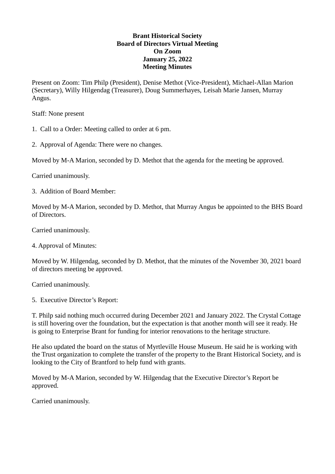## **Brant Historical Society Board of Directors Virtual Meeting On Zoom January 25, 2022 Meeting Minutes**

Present on Zoom: Tim Philp (President), Denise Methot (Vice-President), Michael-Allan Marion (Secretary), Willy Hilgendag (Treasurer), Doug Summerhayes, Leisah Marie Jansen, Murray Angus.

Staff: None present

1. Call to a Order: Meeting called to order at 6 pm.

2. Approval of Agenda: There were no changes.

Moved by M-A Marion, seconded by D. Methot that the agenda for the meeting be approved.

Carried unanimously.

3. Addition of Board Member:

Moved by M-A Marion, seconded by D. Methot, that Murray Angus be appointed to the BHS Board of Directors.

Carried unanimously.

4. Approval of Minutes:

Moved by W. Hilgendag, seconded by D. Methot, that the minutes of the November 30, 2021 board of directors meeting be approved.

Carried unanimously.

5. Executive Director's Report:

T. Philp said nothing much occurred during December 2021 and January 2022. The Crystal Cottage is still hovering over the foundation, but the expectation is that another month will see it ready. He is going to Enterprise Brant for funding for interior renovations to the heritage structure.

He also updated the board on the status of Myrtleville House Museum. He said he is working with the Trust organization to complete the transfer of the property to the Brant Historical Society, and is looking to the City of Brantford to help fund with grants.

Moved by M-A Marion, seconded by W. Hilgendag that the Executive Director's Report be approved.

Carried unanimously.